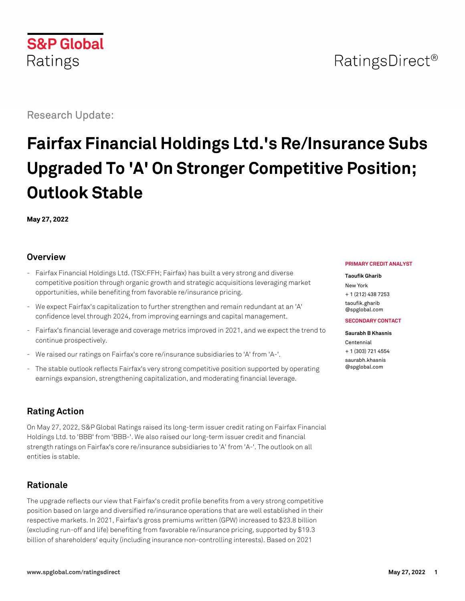

Research Update:

# **Fairfax Financial Holdings Ltd.'s Re/Insurance Subs Upgraded To 'A' On Stronger Competitive Position; Outlook Stable**

**May 27, 2022**

# **Overview**

- Fairfax Financial Holdings Ltd. (TSX:FFH; Fairfax) has built a very strong and diverse competitive position through organic growth and strategic acquisitions leveraging market opportunities, while benefiting from favorable re/insurance pricing.
- We expect Fairfax's capitalization to further strengthen and remain redundant at an 'A' confidence level through 2024, from improving earnings and capital management.
- Fairfax's financial leverage and coverage metrics improved in 2021, and we expect the trend to continue prospectively.
- We raised our ratings on Fairfax's core re/insurance subsidiaries to 'A' from 'A-'.
- The stable outlook reflects Fairfax's very strong competitive position supported by operating earnings expansion, strengthening capitalization, and moderating financial leverage.

# **Rating Action**

On May 27, 2022, S&P Global Ratings raised its long-term issuer credit rating on Fairfax Financial Holdings Ltd. to 'BBB' from 'BBB-'. We also raised our long-term issuer credit and financial strength ratings on Fairfax's core re/insurance subsidiaries to 'A' from 'A-'. The outlook on all entities is stable.

# **Rationale**

The upgrade reflects our view that Fairfax's credit profile benefits from a very strong competitive position based on large and diversified re/insurance operations that are well established in their respective markets. In 2021, Fairfax's gross premiums written (GPW) increased to \$23.8 billion (excluding run-off and life) benefiting from favorable re/insurance pricing, supported by \$19.3 billion of shareholders' equity (including insurance non-controlling interests). Based on 2021

#### **PRIMARY CREDIT ANALYST**

#### **Taoufik Gharib**

New York + 1 (212) 438 7253 [taoufik.gharib](mailto:taoufik.gharib@spglobal.com) [@spglobal.com](mailto:taoufik.gharib@spglobal.com)

#### **SECONDARY CONTACT**

**Saurabh B Khasnis** Centennial + 1 (303) 721 4554 [saurabh.khasnis](mailto:saurabh.khasnis@spglobal.com) [@spglobal.com](mailto:saurabh.khasnis@spglobal.com)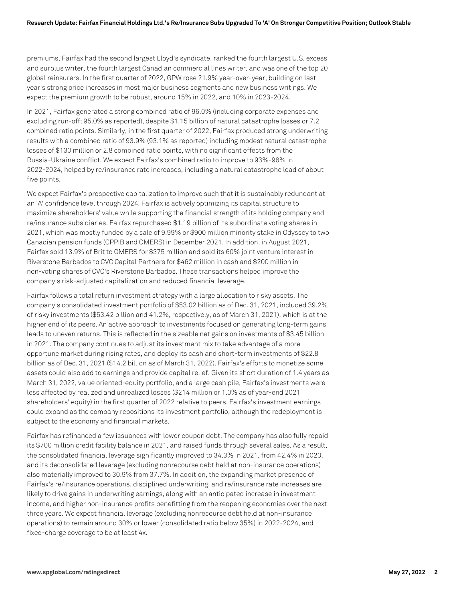premiums, Fairfax had the second largest Lloyd's syndicate, ranked the fourth largest U.S. excess and surplus writer, the fourth largest Canadian commercial lines writer, and was one of the top 20 global reinsurers. In the first quarter of 2022, GPW rose 21.9% year-over-year, building on last year's strong price increases in most major business segments and new business writings. We expect the premium growth to be robust, around 15% in 2022, and 10% in 2023-2024.

In 2021, Fairfax generated a strong combined ratio of 96.0% (including corporate expenses and excluding run-off; 95.0% as reported), despite \$1.15 billion of natural catastrophe losses or 7.2 combined ratio points. Similarly, in the first quarter of 2022, Fairfax produced strong underwriting results with a combined ratio of 93.9% (93.1% as reported) including modest natural catastrophe losses of \$130 million or 2.8 combined ratio points, with no significant effects from the Russia-Ukraine conflict. We expect Fairfax's combined ratio to improve to 93%-96% in 2022-2024, helped by re/insurance rate increases, including a natural catastrophe load of about five points.

We expect Fairfax's prospective capitalization to improve such that it is sustainably redundant at an 'A' confidence level through 2024. Fairfax is actively optimizing its capital structure to maximize shareholders' value while supporting the financial strength of its holding company and re/insurance subsidiaries. Fairfax repurchased \$1.19 billion of its subordinate voting shares in 2021, which was mostly funded by a sale of 9.99% or \$900 million minority stake in Odyssey to two Canadian pension funds (CPPIB and OMERS) in December 2021. In addition, in August 2021, Fairfax sold 13.9% of Brit to OMERS for \$375 million and sold its 60% joint venture interest in Riverstone Barbados to CVC Capital Partners for \$462 million in cash and \$200 million in non-voting shares of CVC's Riverstone Barbados. These transactions helped improve the company's risk-adjusted capitalization and reduced financial leverage.

Fairfax follows a total return investment strategy with a large allocation to risky assets. The company's consolidated investment portfolio of \$53.02 billion as of Dec. 31, 2021, included 39.2% of risky investments (\$53.42 billion and 41.2%, respectively, as of March 31, 2021), which is at the higher end of its peers. An active approach to investments focused on generating long-term gains leads to uneven returns. This is reflected in the sizeable net gains on investments of \$3.45 billion in 2021. The company continues to adjust its investment mix to take advantage of a more opportune market during rising rates, and deploy its cash and short-term investments of \$22.8 billion as of Dec. 31, 2021 (\$14.2 billion as of March 31, 2022). Fairfax's efforts to monetize some assets could also add to earnings and provide capital relief. Given its short duration of 1.4 years as March 31, 2022, value oriented-equity portfolio, and a large cash pile, Fairfax's investments were less affected by realized and unrealized losses (\$214 million or 1.0% as of year-end 2021 shareholders' equity) in the first quarter of 2022 relative to peers. Fairfax's investment earnings could expand as the company repositions its investment portfolio, although the redeployment is subject to the economy and financial markets.

Fairfax has refinanced a few issuances with lower coupon debt. The company has also fully repaid its \$700 million credit facility balance in 2021, and raised funds through several sales. As a result, the consolidated financial leverage significantly improved to 34.3% in 2021, from 42.4% in 2020, and its deconsolidated leverage (excluding nonrecourse debt held at non-insurance operations) also materially improved to 30.9% from 37.7%. In addition, the expanding market presence of Fairfax's re/insurance operations, disciplined underwriting, and re/insurance rate increases are likely to drive gains in underwriting earnings, along with an anticipated increase in investment income, and higher non-insurance profits benefitting from the reopening economies over the next three years. We expect financial leverage (excluding nonrecourse debt held at non-insurance operations) to remain around 30% or lower (consolidated ratio below 35%) in 2022-2024, and fixed-charge coverage to be at least 4x.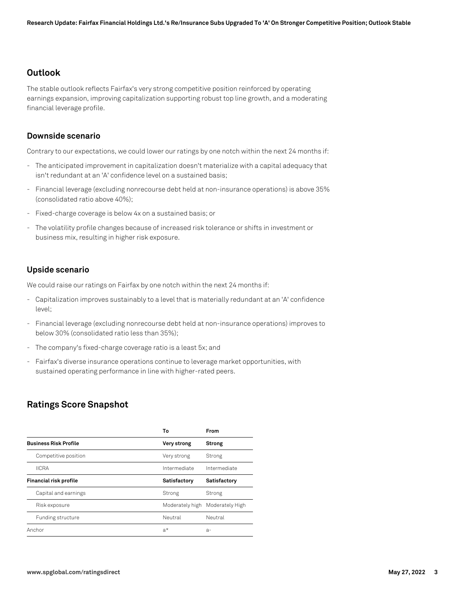# **Outlook**

The stable outlook reflects Fairfax's very strong competitive position reinforced by operating earnings expansion, improving capitalization supporting robust top line growth, and a moderating financial leverage profile.

#### **Downside scenario**

Contrary to our expectations, we could lower our ratings by one notch within the next 24 months if:

- The anticipated improvement in capitalization doesn't materialize with a capital adequacy that isn't redundant at an 'A' confidence level on a sustained basis;
- Financial leverage (excluding nonrecourse debt held at non-insurance operations) is above 35% (consolidated ratio above 40%);
- Fixed-charge coverage is below 4x on a sustained basis; or
- The volatility profile changes because of increased risk tolerance or shifts in investment or business mix, resulting in higher risk exposure.

#### **Upside scenario**

We could raise our ratings on Fairfax by one notch within the next 24 months if:

- Capitalization improves sustainably to a level that is materially redundant at an 'A' confidence level;
- Financial leverage (excluding nonrecourse debt held at non-insurance operations) improves to below 30% (consolidated ratio less than 35%);
- The company's fixed-charge coverage ratio is a least 5x; and
- Fairfax's diverse insurance operations continue to leverage market opportunities, with sustained operating performance in line with higher-rated peers.

# **Ratings Score Snapshot**

|                              | Т٥              | From            |
|------------------------------|-----------------|-----------------|
| <b>Business Risk Profile</b> | Very strong     | <b>Strong</b>   |
| Competitive position         | Very strong     | Strong          |
| <b>IICRA</b>                 | Intermediate    | Intermediate    |
| Financial risk profile       | Satisfactory    | Satisfactory    |
| Capital and earnings         | Strong          | Strong          |
| Risk exposure                | Moderately high | Moderately High |
| Funding structure            | Neutral         | Neutral         |
| Anchor                       | a*              | $a-$            |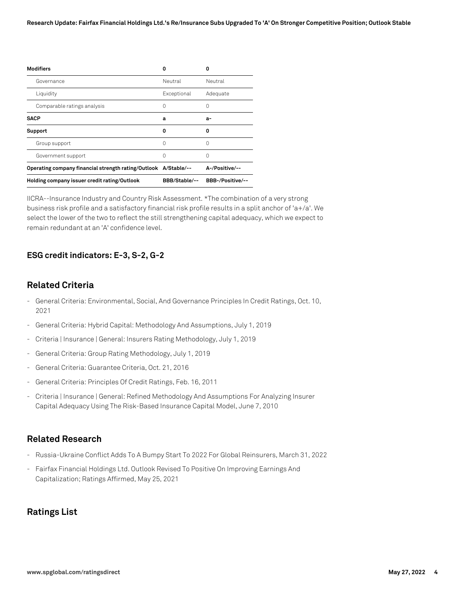| <b>Modifiers</b>                                                | n             | n                |
|-----------------------------------------------------------------|---------------|------------------|
| Governance                                                      | Neutral       | Neutral          |
| Liquidity                                                       | Exceptional   | Adequate         |
| Comparable ratings analysis                                     | ( )           |                  |
| <b>SACP</b>                                                     | a             | а-               |
| Support                                                         | o             | o                |
| Group support                                                   | 0             | $\left( \right)$ |
| Government support                                              | Ω             | $\left( \right)$ |
| Operating company financial strength rating/Outlook A/Stable/-- |               | A-/Positive/--   |
| Holding company issuer credit rating/Outlook                    | BBB/Stable/-- | BBB-/Positive/-- |

IICRA--Insurance Industry and Country Risk Assessment. \*The combination of a very strong business risk profile and a satisfactory financial risk profile results in a split anchor of 'a+/a'. We select the lower of the two to reflect the still strengthening capital adequacy, which we expect to remain redundant at an 'A' confidence level.

# **ESG credit indicators: E-3, S-2, G-2**

# **Related Criteria**

- General Criteria: Environmental, Social, And Governance Principles In Credit Ratings, Oct. 10, 2021
- General Criteria: Hybrid Capital: Methodology And Assumptions, July 1, 2019
- Criteria | Insurance | General: Insurers Rating Methodology, July 1, 2019
- General Criteria: Group Rating Methodology, July 1, 2019
- General Criteria: Guarantee Criteria, Oct. 21, 2016
- General Criteria: Principles Of Credit Ratings, Feb. 16, 2011
- Criteria | Insurance | General: Refined Methodology And Assumptions For Analyzing Insurer Capital Adequacy Using The Risk-Based Insurance Capital Model, June 7, 2010

### **Related Research**

- Russia-Ukraine Conflict Adds To A Bumpy Start To 2022 For Global Reinsurers, March 31, 2022
- Fairfax Financial Holdings Ltd. Outlook Revised To Positive On Improving Earnings And Capitalization; Ratings Affirmed, May 25, 2021

# **Ratings List**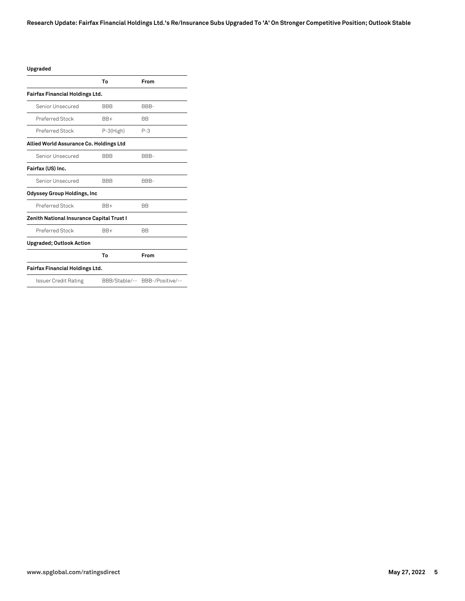#### **Upgraded**

|                                           | To         | From                           |
|-------------------------------------------|------------|--------------------------------|
| <b>Fairfax Financial Holdings Ltd.</b>    |            |                                |
| Senior Unsecured                          | <b>BBB</b> | BBB-                           |
| Preferred Stock                           | $BB+$      | <b>BB</b>                      |
| Preferred Stock                           | P-3(High)  | $P - 3$                        |
| Allied World Assurance Co. Holdings Ltd   |            |                                |
| Senior Unsecured                          | <b>BBB</b> | BBB-                           |
| Fairfax (US) Inc.                         |            |                                |
| Senior Unsecured                          | <b>BBB</b> | BBB-                           |
| <b>Odyssey Group Holdings, Inc</b>        |            |                                |
| Preferred Stock                           | $BB+$      | <b>BB</b>                      |
| Zenith National Insurance Capital Trust I |            |                                |
| Preferred Stock                           | $BB+$      | <b>BB</b>                      |
| <b>Upgraded; Outlook Action</b>           |            |                                |
|                                           | To         | From                           |
| <b>Fairfax Financial Holdings Ltd.</b>    |            |                                |
| Issuer Credit Rating                      |            | BBB/Stable/-- BBB-/Positive/-- |
|                                           |            |                                |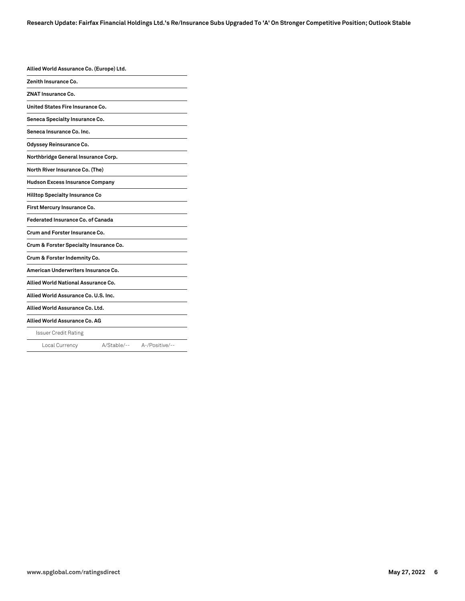| Allied World Assurance Co. (Europe) Ltd. |             |                |
|------------------------------------------|-------------|----------------|
| Zenith Insurance Co.                     |             |                |
| ZNAT Insurance Co.                       |             |                |
| United States Fire Insurance Co.         |             |                |
| Seneca Specialty Insurance Co.           |             |                |
| Seneca Insurance Co. Inc.                |             |                |
| Odyssey Reinsurance Co.                  |             |                |
| Northbridge General Insurance Corp.      |             |                |
| North River Insurance Co. (The)          |             |                |
| <b>Hudson Excess Insurance Company</b>   |             |                |
| <b>Hilltop Specialty Insurance Co</b>    |             |                |
| First Mercury Insurance Co.              |             |                |
| Federated Insurance Co. of Canada        |             |                |
| Crum and Forster Insurance Co.           |             |                |
| Crum & Forster Specialty Insurance Co.   |             |                |
| Crum & Forster Indemnity Co.             |             |                |
| American Underwriters Insurance Co.      |             |                |
| Allied World National Assurance Co.      |             |                |
| Allied World Assurance Co. U.S. Inc.     |             |                |
| Allied World Assurance Co. Ltd.          |             |                |
| Allied World Assurance Co. AG            |             |                |
| <b>Issuer Credit Rating</b>              |             |                |
| Local Currency                           | A/Stable/-- | A-/Positive/-- |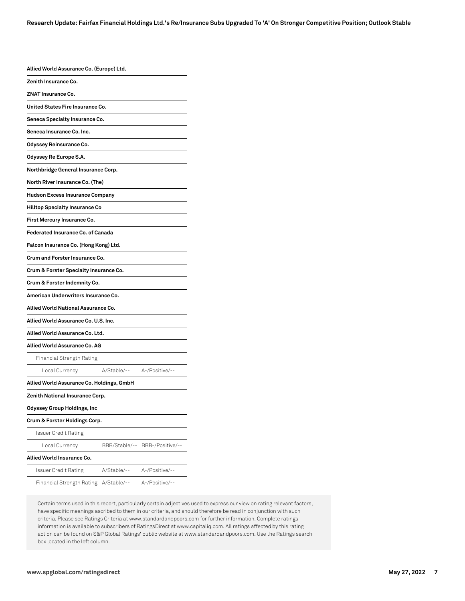| Allied World Assurance Co. (Europe) Ltd.  |                            |                  |
|-------------------------------------------|----------------------------|------------------|
| Zenith Insurance Co.                      |                            |                  |
| <b>ZNAT Insurance Co.</b>                 |                            |                  |
| United States Fire Insurance Co.          |                            |                  |
| Seneca Specialty Insurance Co.            |                            |                  |
| Seneca Insurance Co. Inc.                 |                            |                  |
| Odyssey Reinsurance Co.                   |                            |                  |
| Odyssey Re Europe S.A.                    |                            |                  |
| Northbridge General Insurance Corp.       |                            |                  |
| North River Insurance Co. (The)           |                            |                  |
| <b>Hudson Excess Insurance Company</b>    |                            |                  |
| Hilltop Specialty Insurance Co            |                            |                  |
| First Mercury Insurance Co.               |                            |                  |
| <b>Federated Insurance Co. of Canada</b>  |                            |                  |
| Falcon Insurance Co. (Hong Kong) Ltd.     |                            |                  |
| Crum and Forster Insurance Co.            |                            |                  |
| Crum & Forster Specialty Insurance Co.    |                            |                  |
| Crum & Forster Indemnity Co.              |                            |                  |
| American Underwriters Insurance Co.       |                            |                  |
| Allied World National Assurance Co.       |                            |                  |
| Allied World Assurance Co. U.S. Inc.      |                            |                  |
| Allied World Assurance Co. Ltd.           |                            |                  |
| Allied World Assurance Co. AG             |                            |                  |
| Financial Strength Rating                 |                            |                  |
| Local Currency                            | A/Stable/-- A-/Positive/-- |                  |
| Allied World Assurance Co. Holdings, GmbH |                            |                  |
| Zenith National Insurance Corp.           |                            |                  |
| Odyssey Group Holdings, Inc               |                            |                  |
| Crum & Forster Holdings Corp.             |                            |                  |
| Issuer Credit Rating                      |                            |                  |
| Local Currency                            | BBB/Stable/--              | BBB-/Positive/-- |
| Allied World Insurance Co.                |                            |                  |
| Issuer Credit Rating                      | A/Stable/--                | A-/Positive/--   |
| Financial Strength Rating                 | A/Stable/--                | A-/Positive/--   |

Certain terms used in this report, particularly certain adjectives used to express our view on rating relevant factors, have specific meanings ascribed to them in our criteria, and should therefore be read in conjunction with such criteria. Please see Ratings Criteria at www.standardandpoors.com for further information. Complete ratings information is available to subscribers of RatingsDirect at www.capitaliq.com. All ratings affected by this rating action can be found on S&P Global Ratings' public website at www.standardandpoors.com. Use the Ratings search box located in the left column.